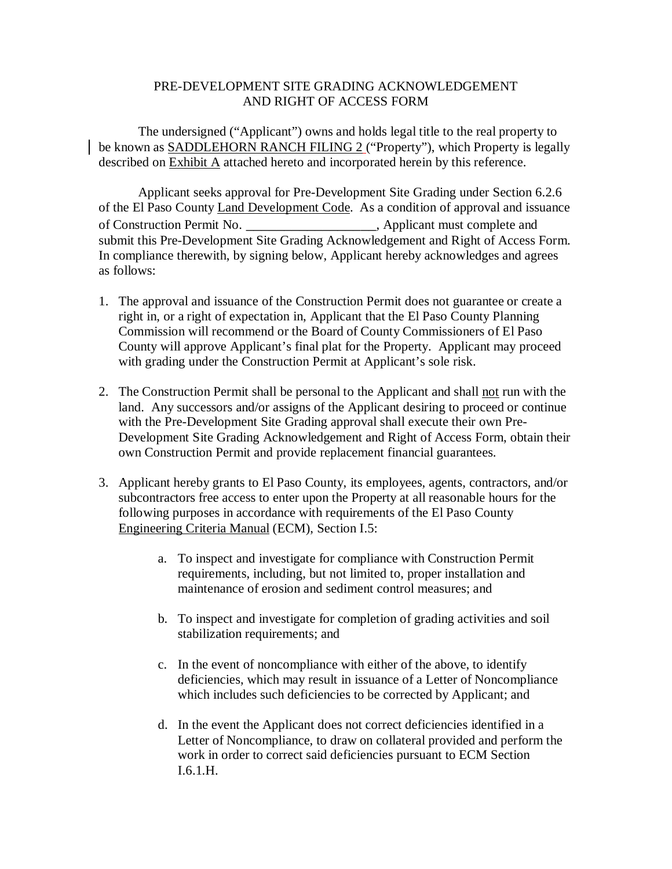## PRE-DEVELOPMENT SITE GRADING ACKNOWLEDGEMENT AND RIGHT OF ACCESS FORM

The undersigned ("Applicant") owns and holds legal title to the real property to be known as SADDLEHORN RANCH FILING 2 ("Property"), which Property is legally described on Exhibit A attached hereto and incorporated herein by this reference.

Applicant seeks approval for Pre-Development Site Grading under Section 6.2.6 of the El Paso County Land Development Code. As a condition of approval and issuance of Construction Permit No. \_\_\_\_\_\_\_\_\_\_\_\_\_\_\_\_\_, Applicant must complete and submit this Pre-Development Site Grading Acknowledgement and Right of Access Form. In compliance therewith, by signing below, Applicant hereby acknowledges and agrees as follows:

- 1. The approval and issuance of the Construction Permit does not guarantee or create a right in, or a right of expectation in, Applicant that the El Paso County Planning Commission will recommend or the Board of County Commissioners of El Paso County will approve Applicant's final plat for the Property. Applicant may proceed with grading under the Construction Permit at Applicant's sole risk.
- 2. The Construction Permit shall be personal to the Applicant and shall not run with the land. Any successors and/or assigns of the Applicant desiring to proceed or continue with the Pre-Development Site Grading approval shall execute their own Pre-Development Site Grading Acknowledgement and Right of Access Form, obtain their own Construction Permit and provide replacement financial guarantees.
- 3. Applicant hereby grants to El Paso County, its employees, agents, contractors, and/or subcontractors free access to enter upon the Property at all reasonable hours for the following purposes in accordance with requirements of the El Paso County Engineering Criteria Manual (ECM), Section I.5:
	- a. To inspect and investigate for compliance with Construction Permit requirements, including, but not limited to, proper installation and maintenance of erosion and sediment control measures; and
	- b. To inspect and investigate for completion of grading activities and soil stabilization requirements; and
	- c. In the event of noncompliance with either of the above, to identify deficiencies, which may result in issuance of a Letter of Noncompliance which includes such deficiencies to be corrected by Applicant; and
	- d. In the event the Applicant does not correct deficiencies identified in a Letter of Noncompliance, to draw on collateral provided and perform the work in order to correct said deficiencies pursuant to ECM Section I.6.1.H.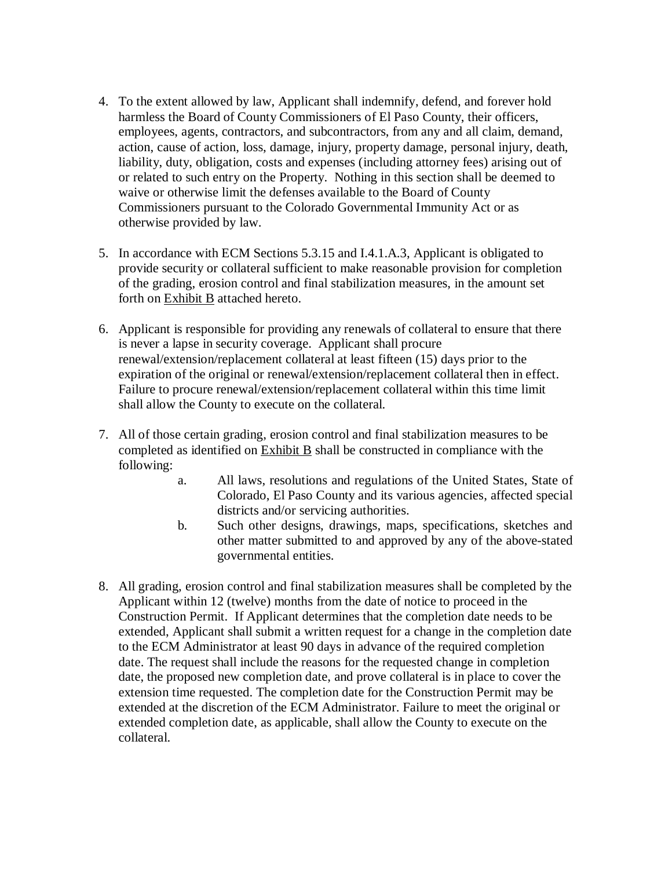- 4. To the extent allowed by law, Applicant shall indemnify, defend, and forever hold harmless the Board of County Commissioners of El Paso County, their officers, employees, agents, contractors, and subcontractors, from any and all claim, demand, action, cause of action, loss, damage, injury, property damage, personal injury, death, liability, duty, obligation, costs and expenses (including attorney fees) arising out of or related to such entry on the Property. Nothing in this section shall be deemed to waive or otherwise limit the defenses available to the Board of County Commissioners pursuant to the Colorado Governmental Immunity Act or as otherwise provided by law.
- 5. In accordance with ECM Sections 5.3.15 and I.4.1.A.3, Applicant is obligated to provide security or collateral sufficient to make reasonable provision for completion of the grading, erosion control and final stabilization measures, in the amount set forth on Exhibit B attached hereto.
- 6. Applicant is responsible for providing any renewals of collateral to ensure that there is never a lapse in security coverage. Applicant shall procure renewal/extension/replacement collateral at least fifteen (15) days prior to the expiration of the original or renewal/extension/replacement collateral then in effect. Failure to procure renewal/extension/replacement collateral within this time limit shall allow the County to execute on the collateral.
- 7. All of those certain grading, erosion control and final stabilization measures to be completed as identified on Exhibit B shall be constructed in compliance with the following:
	- a. All laws, resolutions and regulations of the United States, State of Colorado, El Paso County and its various agencies, affected special districts and/or servicing authorities.
	- b. Such other designs, drawings, maps, specifications, sketches and other matter submitted to and approved by any of the above-stated governmental entities.
- 8. All grading, erosion control and final stabilization measures shall be completed by the Applicant within 12 (twelve) months from the date of notice to proceed in the Construction Permit. If Applicant determines that the completion date needs to be extended, Applicant shall submit a written request for a change in the completion date to the ECM Administrator at least 90 days in advance of the required completion date. The request shall include the reasons for the requested change in completion date, the proposed new completion date, and prove collateral is in place to cover the extension time requested. The completion date for the Construction Permit may be extended at the discretion of the ECM Administrator. Failure to meet the original or extended completion date, as applicable, shall allow the County to execute on the collateral.